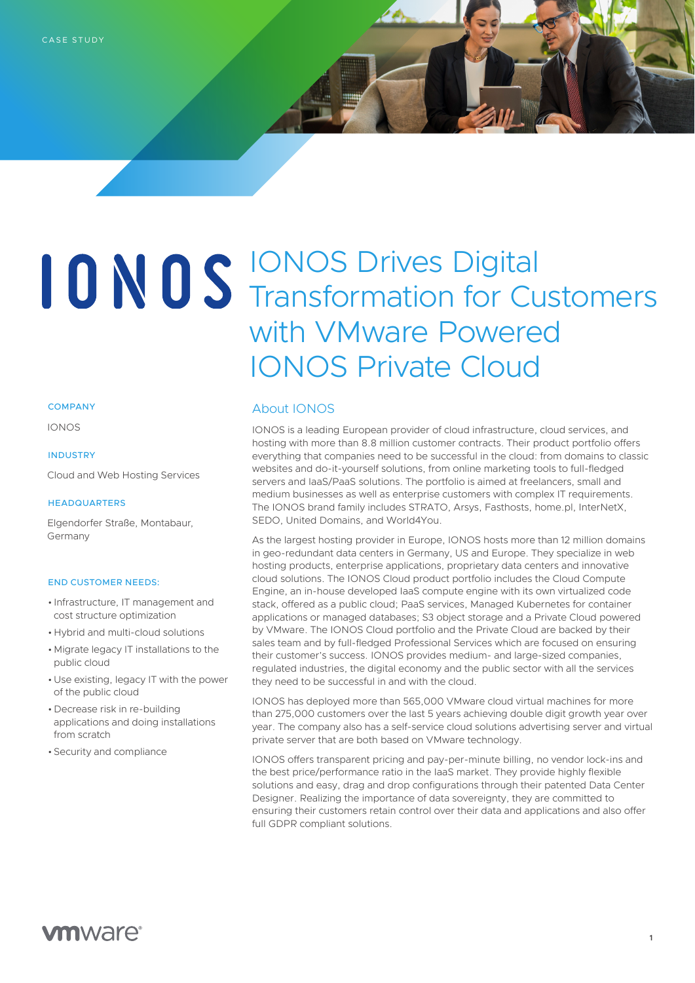# IONOS Drives Digital Transformation for Customers with VMware Powered IONOS Private Cloud

#### **COMPANY**

IONOS

#### INDUSTRY

Cloud and Web Hosting Services

#### **HEADQUARTERS**

 Elgendorfer Straße, Montabaur, Germany

#### END CUSTOMER NEEDS:

- Infrastructure, IT management and cost structure optimization
- Hybrid and multi-cloud solutions
- Migrate legacy IT installations to the public cloud
- Use existing, legacy IT with the power of the public cloud
- Decrease risk in re-building applications and doing installations from scratch
- Security and compliance

### About IONOS

IONOS is a leading European provider of cloud infrastructure, cloud services, and hosting with more than 8.8 million customer contracts. Their product portfolio offers everything that companies need to be successful in the cloud: from domains to classic websites and do-it-yourself solutions, from online marketing tools to full-fledged servers and IaaS/PaaS solutions. The portfolio is aimed at freelancers, small and medium businesses as well as enterprise customers with complex IT requirements. The IONOS brand family includes STRATO, Arsys, Fasthosts, home.pl, InterNetX, SEDO, United Domains, and World4You.

As the largest hosting provider in Europe, IONOS hosts more than 12 million domains in geo-redundant data centers in Germany, US and Europe. They specialize in web hosting products, enterprise applications, proprietary data centers and innovative cloud solutions. The IONOS Cloud product portfolio includes the Cloud Compute Engine, an in-house developed IaaS compute engine with its own virtualized code stack, offered as a public cloud; PaaS services, Managed Kubernetes for container applications or managed databases; S3 object storage and a Private Cloud powered by VMware. The IONOS Cloud portfolio and the Private Cloud are backed by their sales team and by full-fledged Professional Services which are focused on ensuring their customer's success. IONOS provides medium- and large-sized companies, regulated industries, the digital economy and the public sector with all the services they need to be successful in and with the cloud.

IONOS has deployed more than 565,000 VMware cloud virtual machines for more than 275,000 customers over the last 5 years achieving double digit growth year over year. The company also has a self-service cloud solutions advertising server and virtual private server that are both based on VMware technology.

IONOS offers transparent pricing and pay-per-minute billing, no vendor lock-ins and the best price/performance ratio in the IaaS market. They provide highly flexible solutions and easy, drag and drop configurations through their patented Data Center Designer. Realizing the importance of data sovereignty, they are committed to ensuring their customers retain control over their data and applications and also offer full GDPR compliant solutions.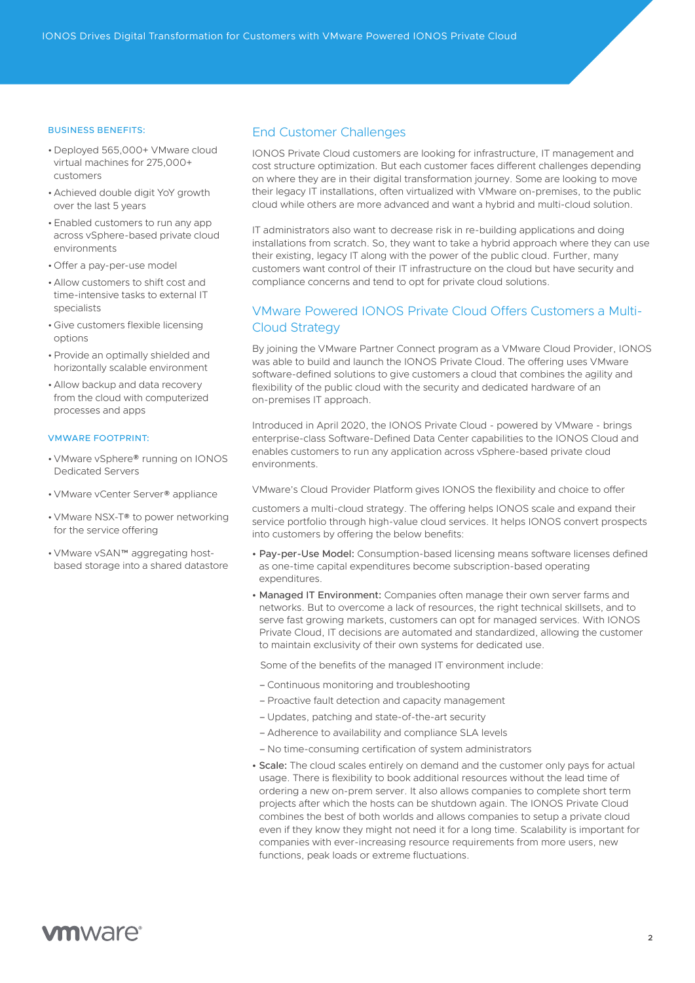#### BUSINESS BENEFITS:

- Deployed 565,000+ VMware cloud virtual machines for 275,000+ customers
- Achieved double digit YoY growth over the last 5 years
- Enabled customers to run any app across vSphere-based private cloud environments
- Offer a pay-per-use model
- Allow customers to shift cost and time-intensive tasks to external IT specialists
- Give customers flexible licensing options
- •Provide an optimally shielded and horizontally scalable environment
- Allow backup and data recovery from the cloud with computerized processes and apps

#### VMWARE FOOTPRINT:

- VMware vSphere® running on IONOS Dedicated Servers
- VMware vCenter Server® appliance
- VMware NSX-T® to power networking for the service offering
- VMware vSAN™ aggregating hostbased storage into a shared datastore

## End Customer Challenges

IONOS Private Cloud customers are looking for infrastructure, IT management and cost structure optimization. But each customer faces different challenges depending on where they are in their digital transformation journey. Some are looking to move their legacy IT installations, often virtualized with VMware on-premises, to the public cloud while others are more advanced and want a hybrid and multi-cloud solution.

IT administrators also want to decrease risk in re-building applications and doing installations from scratch. So, they want to take a hybrid approach where they can use their existing, legacy IT along with the power of the public cloud. Further, many customers want control of their IT infrastructure on the cloud but have security and compliance concerns and tend to opt for private cloud solutions.

# VMware Powered IONOS Private Cloud Offers Customers a Multi-Cloud Strategy

By joining the VMware Partner Connect program as a VMware Cloud Provider, IONOS was able to build and launch the IONOS Private Cloud. The offering uses VMware software-defined solutions to give customers a cloud that combines the agility and flexibility of the public cloud with the security and dedicated hardware of an on-premises IT approach.

Introduced in April 2020, the IONOS Private Cloud - powered by VMware - brings enterprise-class Software-Defined Data Center capabilities to the IONOS Cloud and enables customers to run any application across vSphere-based private cloud environments.

VMware's Cloud Provider Platform gives IONOS the flexibility and choice to offer

customers a multi-cloud strategy. The offering helps IONOS scale and expand their service portfolio through high-value cloud services. It helps IONOS convert prospects into customers by offering the below benefits:

- Pay-per-Use Model: Consumption-based licensing means software licenses defined as one-time capital expenditures become subscription-based operating expenditures.
- Managed IT Environment: Companies often manage their own server farms and networks. But to overcome a lack of resources, the right technical skillsets, and to serve fast growing markets, customers can opt for managed services. With IONOS Private Cloud, IT decisions are automated and standardized, allowing the customer to maintain exclusivity of their own systems for dedicated use.

Some of the benefits of the managed IT environment include:

- Continuous monitoring and troubleshooting
- Proactive fault detection and capacity management
- Updates, patching and state-of-the-art security
- Adherence to availability and compliance SLA levels
- No time-consuming certification of system administrators
- Scale: The cloud scales entirely on demand and the customer only pays for actual usage. There is flexibility to book additional resources without the lead time of ordering a new on-prem server. It also allows companies to complete short term projects after which the hosts can be shutdown again. The IONOS Private Cloud combines the best of both worlds and allows companies to setup a private cloud even if they know they might not need it for a long time. Scalability is important for companies with ever-increasing resource requirements from more users, new functions, peak loads or extreme fluctuations.

# **vm**ware<sup>®</sup>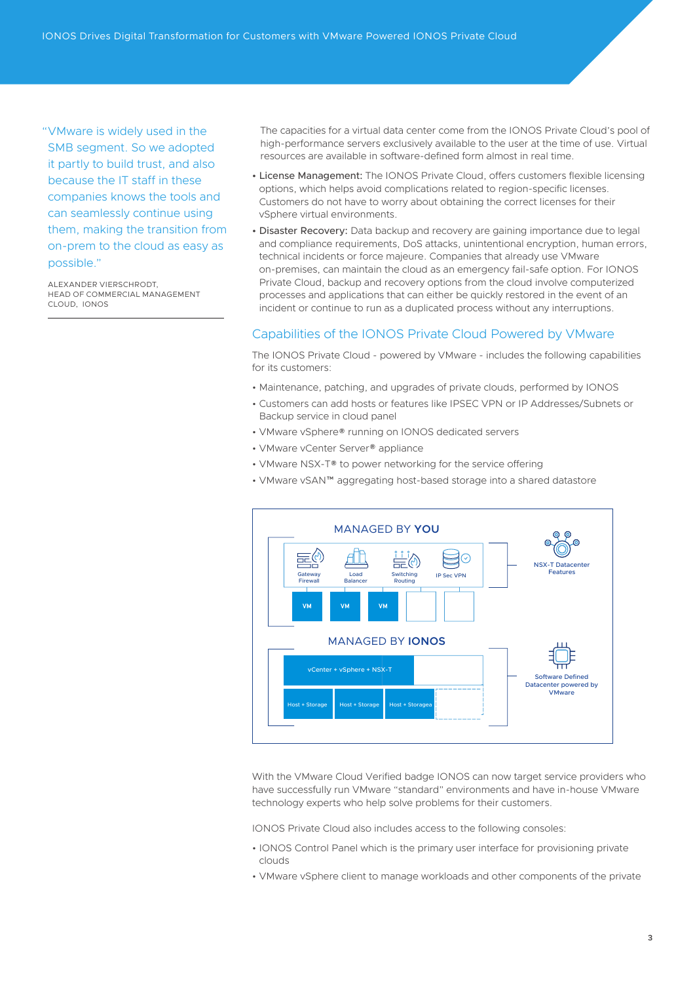"VMware is widely used in the SMB segment. So we adopted it partly to build trust, and also because the IT staff in these companies knows the tools and can seamlessly continue using them, making the transition from on-prem to the cloud as easy as possible."

ALEXANDER VIERSCHRODT, HEAD OF COMMERCIAL MANAGEMENT CLOUD, IONOS

The capacities for a virtual data center come from the IONOS Private Cloud's pool of high-performance servers exclusively available to the user at the time of use. Virtual resources are available in software-defined form almost in real time.

- License Management: The IONOS Private Cloud, offers customers flexible licensing options, which helps avoid complications related to region-specific licenses. Customers do not have to worry about obtaining the correct licenses for their vSphere virtual environments.
- Disaster Recovery: Data backup and recovery are gaining importance due to legal and compliance requirements, DoS attacks, unintentional encryption, human errors, technical incidents or force majeure. Companies that already use VMware on-premises, can maintain the cloud as an emergency fail-safe option. For IONOS Private Cloud, backup and recovery options from the cloud involve computerized processes and applications that can either be quickly restored in the event of an incident or continue to run as a duplicated process without any interruptions.

# Capabilities of the IONOS Private Cloud Powered by VMware

The IONOS Private Cloud - powered by VMware - includes the following capabilities for its customers:

- Maintenance, patching, and upgrades of private clouds, performed by IONOS
- Customers can add hosts or features like IPSEC VPN or IP Addresses/Subnets or Backup service in cloud panel
- VMware vSphere® running on IONOS dedicated servers
- VMware vCenter Server® appliance
- VMware NSX-T® to power networking for the service offering
- VMware vSAN™ aggregating host-based storage into a shared datastore



With the VMware Cloud Verified badge IONOS can now target service providers who have successfully run VMware "standard" environments and have in-house VMware technology experts who help solve problems for their customers.

IONOS Private Cloud also includes access to the following consoles:

- IONOS Control Panel which is the primary user interface for provisioning private clouds
- VMware vSphere client to manage workloads and other components of the private